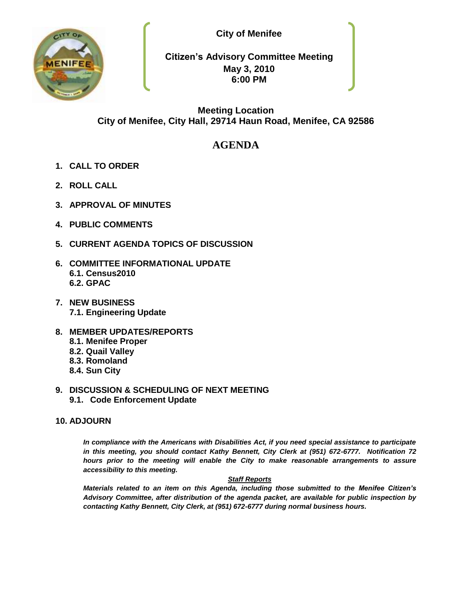



**Citizen's Advisory Committee Meeting May 3, 2010 6:00 PM**

# **Meeting Location City of Menifee, City Hall, 29714 Haun Road, Menifee, CA 92586**

# **AGENDA**

- **1. CALL TO ORDER**
- **2. ROLL CALL**
- **3. APPROVAL OF MINUTES**
- **4. PUBLIC COMMENTS**
- **5. CURRENT AGENDA TOPICS OF DISCUSSION**
- **6. COMMITTEE INFORMATIONAL UPDATE 6.1. Census2010 6.2. GPAC**
- **7. NEW BUSINESS 7.1. Engineering Update**
- **8. MEMBER UPDATES/REPORTS**
	- **8.1. Menifee Proper**
	- **8.2. Quail Valley**
	- **8.3. Romoland**
	- **8.4. Sun City**
- **9. DISCUSSION & SCHEDULING OF NEXT MEETING 9.1. Code Enforcement Update**

## **10. ADJOURN**

*In compliance with the Americans with Disabilities Act, if you need special assistance to participate in this meeting, you should contact Kathy Bennett, City Clerk at (951) 672-6777. Notification 72 hours prior to the meeting will enable the City to make reasonable arrangements to assure accessibility to this meeting.* 

#### *Staff Reports*

*Materials related to an item on this Agenda, including those submitted to the Menifee Citizen's Advisory Committee, after distribution of the agenda packet, are available for public inspection by contacting Kathy Bennett, City Clerk, at (951) 672-6777 during normal business hours.*